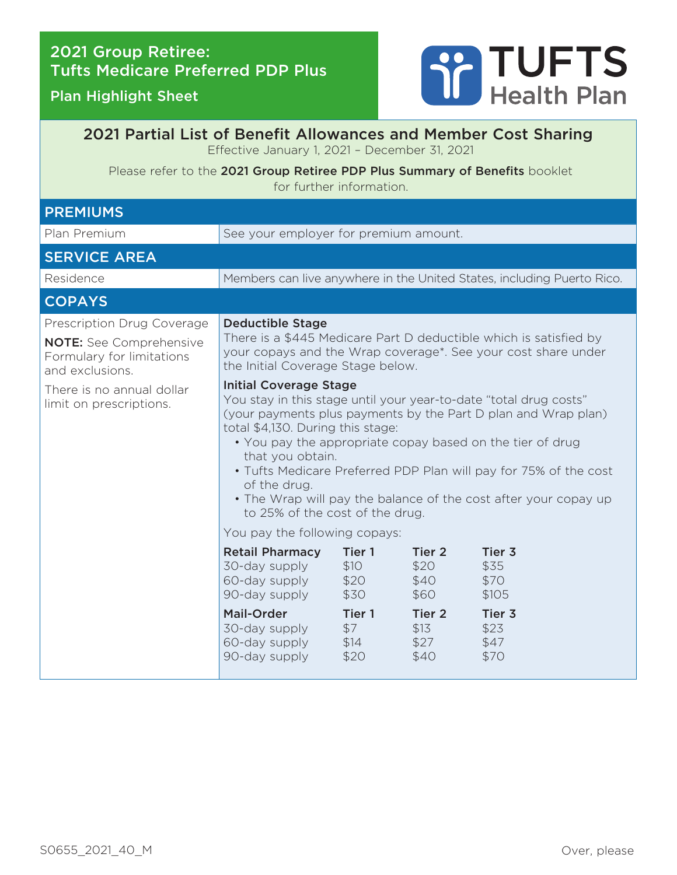## 2021 Group Retiree: Tufts Medicare Preferred PDP Plus

## Plan Highlight Sheet



## 2021 Partial List of Benefit Allowances and Member Cost Sharing Effective January 1, 2021 – December 31, 2021

Please refer to the 2021 Group Retiree PDP Plus Summary of Benefits booklet for further information.

| <b>PREMIUMS</b>                                                                                                                                                      |                                                                                                                                                                                                                                                                                                                                                                                                                                                                                                                                                                                                                                                                                                                             |                                                 |                                                             |                                                   |
|----------------------------------------------------------------------------------------------------------------------------------------------------------------------|-----------------------------------------------------------------------------------------------------------------------------------------------------------------------------------------------------------------------------------------------------------------------------------------------------------------------------------------------------------------------------------------------------------------------------------------------------------------------------------------------------------------------------------------------------------------------------------------------------------------------------------------------------------------------------------------------------------------------------|-------------------------------------------------|-------------------------------------------------------------|---------------------------------------------------|
| Plan Premium                                                                                                                                                         | See your employer for premium amount.                                                                                                                                                                                                                                                                                                                                                                                                                                                                                                                                                                                                                                                                                       |                                                 |                                                             |                                                   |
| <b>SERVICE AREA</b>                                                                                                                                                  |                                                                                                                                                                                                                                                                                                                                                                                                                                                                                                                                                                                                                                                                                                                             |                                                 |                                                             |                                                   |
| Residence                                                                                                                                                            | Members can live anywhere in the United States, including Puerto Rico.                                                                                                                                                                                                                                                                                                                                                                                                                                                                                                                                                                                                                                                      |                                                 |                                                             |                                                   |
| <b>COPAYS</b>                                                                                                                                                        |                                                                                                                                                                                                                                                                                                                                                                                                                                                                                                                                                                                                                                                                                                                             |                                                 |                                                             |                                                   |
| Prescription Drug Coverage<br><b>NOTE:</b> See Comprehensive<br>Formulary for limitations<br>and exclusions.<br>There is no annual dollar<br>limit on prescriptions. | <b>Deductible Stage</b><br>There is a \$445 Medicare Part D deductible which is satisfied by<br>your copays and the Wrap coverage*. See your cost share under<br>the Initial Coverage Stage below.<br><b>Initial Coverage Stage</b><br>You stay in this stage until your year-to-date "total drug costs"<br>(your payments plus payments by the Part D plan and Wrap plan)<br>total \$4,130. During this stage:<br>• You pay the appropriate copay based on the tier of drug<br>that you obtain.<br>• Tufts Medicare Preferred PDP Plan will pay for 75% of the cost<br>of the drug.<br>• The Wrap will pay the balance of the cost after your copay up<br>to 25% of the cost of the drug.<br>You pay the following copays: |                                                 |                                                             |                                                   |
|                                                                                                                                                                      | <b>Retail Pharmacy</b><br>30-day supply<br>60-day supply<br>90-day supply<br><b>Mail-Order</b><br>30-day supply                                                                                                                                                                                                                                                                                                                                                                                                                                                                                                                                                                                                             | Tier 1<br>\$10<br>\$20<br>\$30<br>Tier 1<br>\$7 | Tier 2<br>\$20<br>\$40<br>\$60<br>Tier <sub>2</sub><br>\$13 | Tier 3<br>\$35<br>\$70<br>\$105<br>Tier 3<br>\$23 |
|                                                                                                                                                                      | 60-day supply<br>90-day supply                                                                                                                                                                                                                                                                                                                                                                                                                                                                                                                                                                                                                                                                                              | \$14<br>\$20                                    | \$27<br>\$40                                                | \$47<br>\$70                                      |